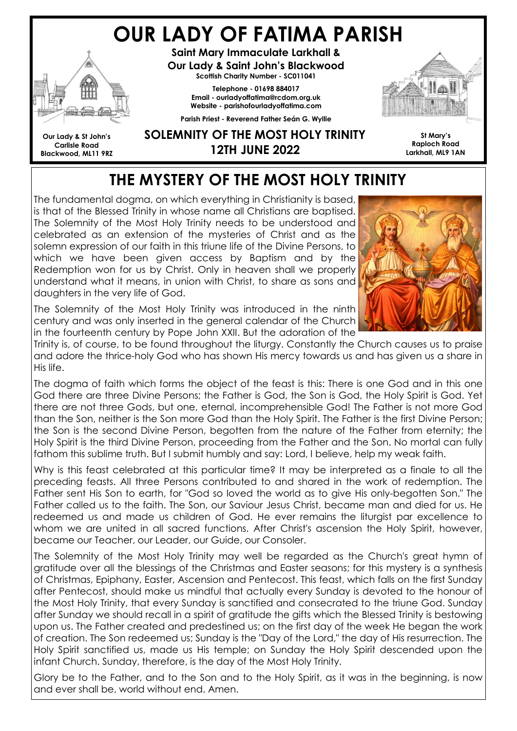# OUR LADY OF FATIMA PARISH



Saint Mary Immaculate Larkhall & Our Lady & Saint John's Blackwood Scottish Charity Number - SC011041

> Telephone - 01698 884017 Email - ourladyoffatima@rcdom.org.uk Website - parishofourladyoffatima.com

Parish Priest - Reverend Father Seán G. Wyllie



St Mary's Raploch Road Larkhall, ML9 1AN

Our Lady & St John's Carlisle Road Blackwood, ML11 9RZ

## SOLEMNITY OF THE MOST HOLY TRINITY 12TH JUNE 2022

# THE MYSTERY OF THE MOST HOLY TRINITY

The fundamental dogma, on which everything in Christianity is based, is that of the Blessed Trinity in whose name all Christians are baptised. The Solemnity of the Most Holy Trinity needs to be understood and celebrated as an extension of the mysteries of Christ and as the solemn expression of our faith in this triune life of the Divine Persons, to which we have been given access by Baptism and by the Redemption won for us by Christ. Only in heaven shall we properly understand what it means, in union with Christ, to share as sons and daughters in the very life of God.

The Solemnity of the Most Holy Trinity was introduced in the ninth century and was only inserted in the general calendar of the Church in the fourteenth century by Pope John XXII. But the adoration of the



Trinity is, of course, to be found throughout the liturgy. Constantly the Church causes us to praise and adore the thrice-holy God who has shown His mercy towards us and has given us a share in His life.

The dogma of faith which forms the object of the feast is this: There is one God and in this one God there are three Divine Persons; the Father is God, the Son is God, the Holy Spirit is God. Yet there are not three Gods, but one, eternal, incomprehensible God! The Father is not more God than the Son, neither is the Son more God than the Holy Spirit. The Father is the first Divine Person; the Son is the second Divine Person, begotten from the nature of the Father from eternity; the Holy Spirit is the third Divine Person, proceeding from the Father and the Son. No mortal can fully fathom this sublime truth. But I submit humbly and say: Lord, I believe, help my weak faith.

Why is this feast celebrated at this particular time? It may be interpreted as a finale to all the preceding feasts. All three Persons contributed to and shared in the work of redemption. The Father sent His Son to earth, for "God so loved the world as to give His only-begotten Son." The Father called us to the faith. The Son, our Saviour Jesus Christ, became man and died for us. He redeemed us and made us children of God. He ever remains the liturgist par excellence to whom we are united in all sacred functions. After Christ's ascension the Holy Spirit, however, became our Teacher, our Leader, our Guide, our Consoler.

The Solemnity of the Most Holy Trinity may well be regarded as the Church's great hymn of gratitude over all the blessings of the Christmas and Easter seasons; for this mystery is a synthesis of Christmas, Epiphany, Easter, Ascension and Pentecost. This feast, which falls on the first Sunday after Pentecost, should make us mindful that actually every Sunday is devoted to the honour of the Most Holy Trinity, that every Sunday is sanctified and consecrated to the triune God. Sunday after Sunday we should recall in a spirit of gratitude the gifts which the Blessed Trinity is bestowing upon us. The Father created and predestined us; on the first day of the week He began the work of creation. The Son redeemed us; Sunday is the "Day of the Lord," the day of His resurrection. The Holy Spirit sanctified us, made us His temple; on Sunday the Holy Spirit descended upon the infant Church. Sunday, therefore, is the day of the Most Holy Trinity.

Glory be to the Father, and to the Son and to the Holy Spirit, as it was in the beginning, is now and ever shall be, world without end. Amen.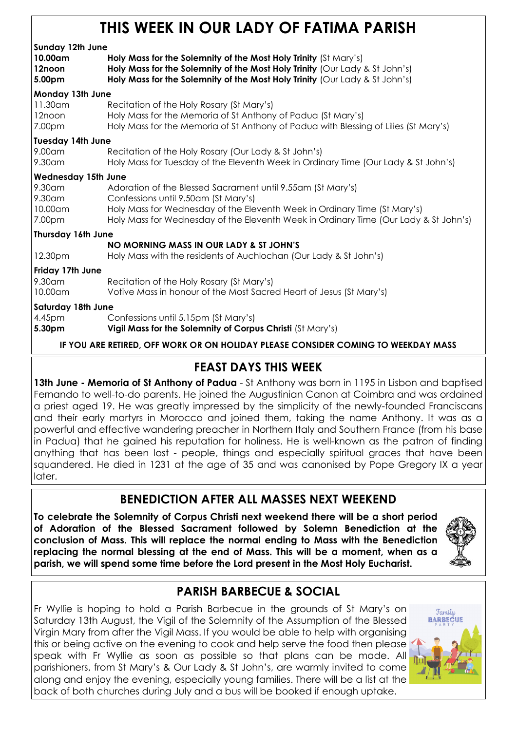## THIS WEEK IN OUR LADY OF FATIMA PARISH

| Sunday 12th June<br>10.00am<br>12noon<br>5.00pm | Holy Mass for the Solemnity of the Most Holy Trinity (St Mary's)<br>Holy Mass for the Solemnity of the Most Holy Trinity (Our Lady & St John's)<br>Holy Mass for the Solemnity of the Most Holy Trinity (Our Lady & St John's)                                           |  |  |
|-------------------------------------------------|--------------------------------------------------------------------------------------------------------------------------------------------------------------------------------------------------------------------------------------------------------------------------|--|--|
| Monday 13th June<br>11.30am                     | Recitation of the Holy Rosary (St Mary's)                                                                                                                                                                                                                                |  |  |
| 12noon<br>7.00pm                                | Holy Mass for the Memoria of St Anthony of Padua (St Mary's)<br>Holy Mass for the Memoria of St Anthony of Padua with Blessing of Lilies (St Mary's)                                                                                                                     |  |  |
| <b>Tuesday 14th June</b>                        |                                                                                                                                                                                                                                                                          |  |  |
| 9.00am<br>9.30am                                | Recitation of the Holy Rosary (Our Lady & St John's)<br>Holy Mass for Tuesday of the Eleventh Week in Ordinary Time (Our Lady & St John's)                                                                                                                               |  |  |
| <b>Wednesday 15th June</b>                      |                                                                                                                                                                                                                                                                          |  |  |
| 9.30am<br>9.30am<br>10.00am<br>7.00pm           | Adoration of the Blessed Sacrament until 9.55am (St Mary's)<br>Confessions until 9.50am (St Mary's)<br>Holy Mass for Wednesday of the Eleventh Week in Ordinary Time (St Mary's)<br>Holy Mass for Wednesday of the Eleventh Week in Ordinary Time (Our Lady & St John's) |  |  |
| <b>Thursday 16th June</b>                       |                                                                                                                                                                                                                                                                          |  |  |
|                                                 | NO MORNING MASS IN OUR LADY & ST JOHN'S                                                                                                                                                                                                                                  |  |  |
| 12.30pm                                         | Holy Mass with the residents of Auchlochan (Our Lady & St John's)                                                                                                                                                                                                        |  |  |
| Friday 17th June                                |                                                                                                                                                                                                                                                                          |  |  |
| 9.30am<br>10.00am                               | Recitation of the Holy Rosary (St Mary's)<br>Votive Mass in honour of the Most Sacred Heart of Jesus (St Mary's)                                                                                                                                                         |  |  |
| <b>Saturday 18th June</b>                       |                                                                                                                                                                                                                                                                          |  |  |
| 4.45pm<br>5.30pm                                | Confessions until 5.15pm (St Mary's)<br>Vigil Mass for the Solemnity of Corpus Christi (St Mary's)                                                                                                                                                                       |  |  |
|                                                 | IF YOU ARE RETIRED, OFF WORK OR ON HOLIDAY PLEASE CONSIDER COMING TO WEEKDAY MASS                                                                                                                                                                                        |  |  |

## FEAST DAYS THIS WEEK

13th June - Memoria of St Anthony of Padua - St Anthony was born in 1195 in Lisbon and baptised Fernando to well-to-do parents. He joined the Augustinian Canon at Coimbra and was ordained a priest aged 19. He was greatly impressed by the simplicity of the newly-founded Franciscans and their early martyrs in Morocco and joined them, taking the name Anthony. It was as a powerful and effective wandering preacher in Northern Italy and Southern France (from his base in Padua) that he gained his reputation for holiness. He is well-known as the patron of finding anything that has been lost - people, things and especially spiritual graces that have been squandered. He died in 1231 at the age of 35 and was canonised by Pope Gregory IX a year later.

## BENEDICTION AFTER ALL MASSES NEXT WEEKEND

To celebrate the Solemnity of Corpus Christi next weekend there will be a short period of Adoration of the Blessed Sacrament followed by Solemn Benediction at the conclusion of Mass. This will replace the normal ending to Mass with the Benediction replacing the normal blessing at the end of Mass. This will be a moment, when as a parish, we will spend some time before the Lord present in the Most Holy Eucharist.



## PARISH BARBECUE & SOCIAL

Fr Wyllie is hoping to hold a Parish Barbecue in the grounds of St Mary's on Saturday 13th August, the Vigil of the Solemnity of the Assumption of the Blessed Virgin Mary from after the Vigil Mass. If you would be able to help with organising this or being active on the evening to cook and help serve the food then please speak with Fr Wyllie as soon as possible so that plans can be made. All parishioners, from St Mary's & Our Lady & St John's, are warmly invited to come along and enjoy the evening, especially young families. There will be a list at the back of both churches during July and a bus will be booked if enough uptake.

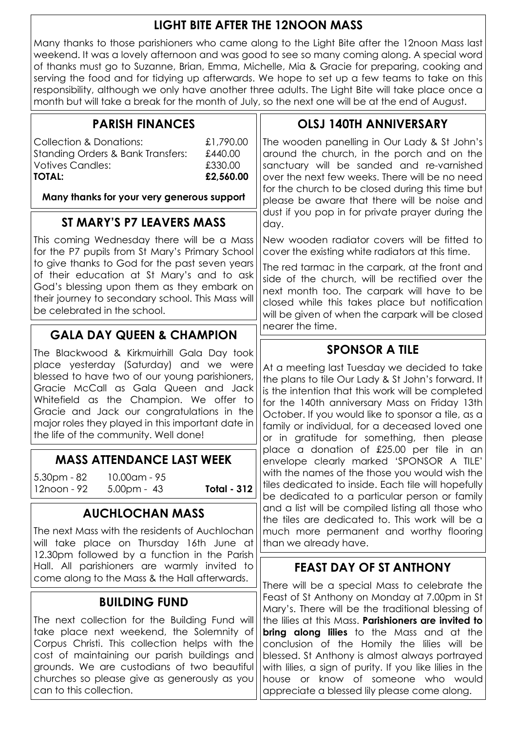### LIGHT BITE AFTER THE 12NOON MASS

Many thanks to those parishioners who came along to the Light Bite after the 12noon Mass last weekend. It was a lovely afternoon and was good to see so many coming along. A special word of thanks must go to Suzanne, Brian, Emma, Michelle, Mia & Gracie for preparing, cooking and serving the food and for tidying up afterwards. We hope to set up a few teams to take on this responsibility, although we only have another three adults. The Light Bite will take place once a month but will take a break for the month of July, so the next one will be at the end of August.

| <b>PARISH FINANCES</b>                                                                                                                                                                                                                                                                                                                                                                                                                        |                    | <b>OLSJ 140TH ANNIVERSARY</b>                                                                                                                                                                                                                                                                                                                                                                                                                                                                                                      |  |
|-----------------------------------------------------------------------------------------------------------------------------------------------------------------------------------------------------------------------------------------------------------------------------------------------------------------------------------------------------------------------------------------------------------------------------------------------|--------------------|------------------------------------------------------------------------------------------------------------------------------------------------------------------------------------------------------------------------------------------------------------------------------------------------------------------------------------------------------------------------------------------------------------------------------------------------------------------------------------------------------------------------------------|--|
| <b>Collection &amp; Donations:</b><br>£1,790.00<br><b>Standing Orders &amp; Bank Transfers:</b><br>£440.00<br><b>Votives Candles:</b><br>£330.00<br><b>TOTAL:</b><br>£2,560.00                                                                                                                                                                                                                                                                |                    | The wooden panelling in Our Lady & St John's<br>around the church, in the porch and on the<br>sanctuary will be sanded and re-varnished<br>over the next few weeks. There will be no need<br>for the church to be closed during this time but                                                                                                                                                                                                                                                                                      |  |
| Many thanks for your very generous support                                                                                                                                                                                                                                                                                                                                                                                                    |                    | please be aware that there will be noise and<br>dust if you pop in for private prayer during the<br>day.                                                                                                                                                                                                                                                                                                                                                                                                                           |  |
| ST MARY'S P7 LEAVERS MASS                                                                                                                                                                                                                                                                                                                                                                                                                     |                    |                                                                                                                                                                                                                                                                                                                                                                                                                                                                                                                                    |  |
| This coming Wednesday there will be a Mass<br>for the P7 pupils from St Mary's Primary School<br>to give thanks to God for the past seven years<br>of their education at St Mary's and to ask<br>God's blessing upon them as they embark on<br>their journey to secondary school. This Mass will<br>be celebrated in the school.                                                                                                              |                    | New wooden radiator covers will be fitted to<br>cover the existing white radiators at this time.<br>The red tarmac in the carpark, at the front and<br>side of the church, will be rectified over the<br>next month too. The carpark will have to be<br>closed while this takes place but notification<br>will be given of when the carpark will be closed<br>nearer the time.                                                                                                                                                     |  |
| <b>GALA DAY QUEEN &amp; CHAMPION</b>                                                                                                                                                                                                                                                                                                                                                                                                          |                    |                                                                                                                                                                                                                                                                                                                                                                                                                                                                                                                                    |  |
| The Blackwood & Kirkmuirhill Gala Day took<br>place yesterday (Saturday) and we were<br>blessed to have two of our young parishioners,<br>Gracie McCall as Gala Queen and Jack<br>Whitefield as the Champion. We offer to<br>Gracie and Jack our congratulations in the<br>major roles they played in this important date in<br>the life of the community. Well done!<br><b>MASS ATTENDANCE LAST WEEK</b><br>$5.30pm - 82$<br>$10.00$ am - 95 |                    | <b>SPONSOR A TILE</b><br>At a meeting last Tuesday we decided to take<br>the plans to tile Our Lady & St John's forward. It<br>is the intention that this work will be completed<br>for the 140th anniversary Mass on Friday 13th<br>October. If you would like to sponsor a tile, as a<br>family or individual, for a deceased loved one<br>or in gratitude for something, then please<br>place a donation of £25.00 per tile in an<br>envelope clearly marked 'SPONSOR A TILE'<br>with the names of the those you would wish the |  |
| 12noon - 92<br>$5.00pm - 43$                                                                                                                                                                                                                                                                                                                                                                                                                  | <b>Total - 312</b> | tiles dedicated to inside. Each tile will hopefully<br>be dedicated to a particular person or family                                                                                                                                                                                                                                                                                                                                                                                                                               |  |
| <b>AUCHLOCHAN MASS</b><br>The next Mass with the residents of Auchlochan<br>will take place on Thursday 16th June at                                                                                                                                                                                                                                                                                                                          |                    | and a list will be compiled listing all those who<br>the tiles are dedicated to. This work will be a<br>much more permanent and worthy flooring<br>than we already have.                                                                                                                                                                                                                                                                                                                                                           |  |
| 12.30pm followed by a function in the Parish<br>Hall. All parishioners are warmly invited to<br>come along to the Mass & the Hall afterwards.                                                                                                                                                                                                                                                                                                 |                    | <b>FEAST DAY OF ST ANTHONY</b>                                                                                                                                                                                                                                                                                                                                                                                                                                                                                                     |  |
|                                                                                                                                                                                                                                                                                                                                                                                                                                               |                    | There will be a special Mass to celebrate the<br>Feast of St Anthony on Monday at 7.00pm in St                                                                                                                                                                                                                                                                                                                                                                                                                                     |  |
| <b>BUILDING FUND</b><br>The next collection for the Building Fund will<br>take place next weekend, the Solemnity of<br>Corpus Christi. This collection helps with the<br>cost of maintaining our parish buildings and<br>grounds. We are custodians of two beautiful<br>churches so please give as generously as you<br>can to this collection.                                                                                               |                    | Mary's. There will be the traditional blessing of<br>the lilies at this Mass. Parishioners are invited to<br>bring along lilies to the Mass and at the<br>conclusion of the Homily the lilies will be<br>blessed. St Anthony is almost always portrayed<br>with lilies, a sign of purity. If you like lilies in the<br>house or know of someone who would<br>appreciate a blessed lily please come along.                                                                                                                          |  |